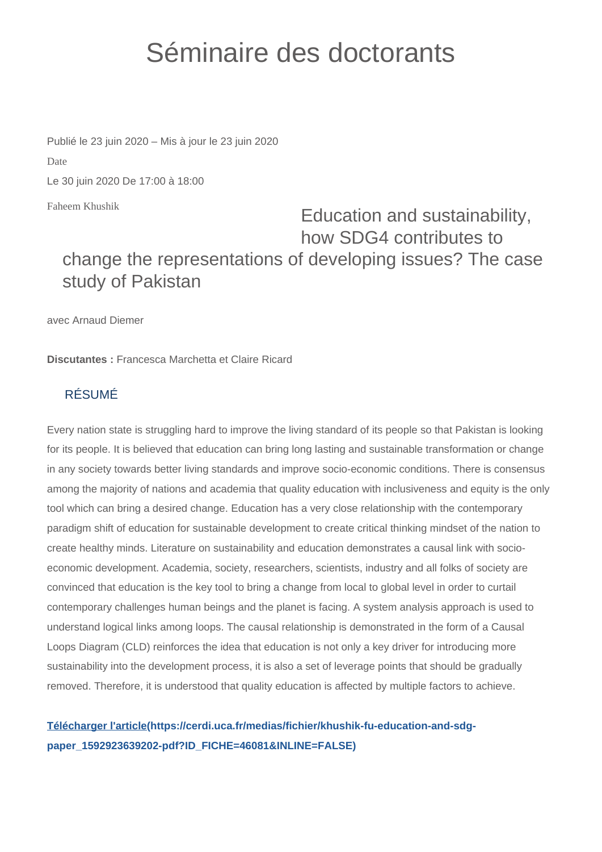## Séminaire des doctorants

Publié le 23 juin 2020 – Mis à jour le 23 juin 2020 Date Le 30 juin 2020 De 17:00 à 18:00

Faheem Khushik

## Education and sustainability, how SDG4 contributes to change the representations of developing issues? The case study of Pakistan

avec Arnaud Diemer

**Discutantes :** Francesca Marchetta et Claire Ricard

## RÉSUMÉ

Every nation state is struggling hard to improve the living standard of its people so that Pakistan is looking for its people. It is believed that education can bring long lasting and sustainable transformation or change in any society towards better living standards and improve socio-economic conditions. There is consensus among the majority of nations and academia that quality education with inclusiveness and equity is the only tool which can bring a desired change. Education has a very close relationship with the contemporary paradigm shift of education for sustainable development to create critical thinking mindset of the nation to create healthy minds. Literature on sustainability and education demonstrates a causal link with socioeconomic development. Academia, society, researchers, scientists, industry and all folks of society are convinced that education is the key tool to bring a change from local to global level in order to curtail contemporary challenges human beings and the planet is facing. A system analysis approach is used to understand logical links among loops. The causal relationship is demonstrated in the form of a Causal Loops Diagram (CLD) reinforces the idea that education is not only a key driver for introducing more sustainability into the development process, it is also a set of leverage points that should be gradually removed. Therefore, it is understood that quality education is affected by multiple factors to achieve.

## **[Télécharger l'article\(https://cerdi.uca.fr/medias/fichier/khushik-fu-education-and-sdg](https://cerdi.uca.fr/medias/fichier/khushik-fu-education-and-sdg-paper_1592923639202-pdf?ID_FICHE=46081&INLINE=FALSE)[paper\\_1592923639202-pdf?ID\\_FICHE=46081&INLINE=FALSE\)](https://cerdi.uca.fr/medias/fichier/khushik-fu-education-and-sdg-paper_1592923639202-pdf?ID_FICHE=46081&INLINE=FALSE)**